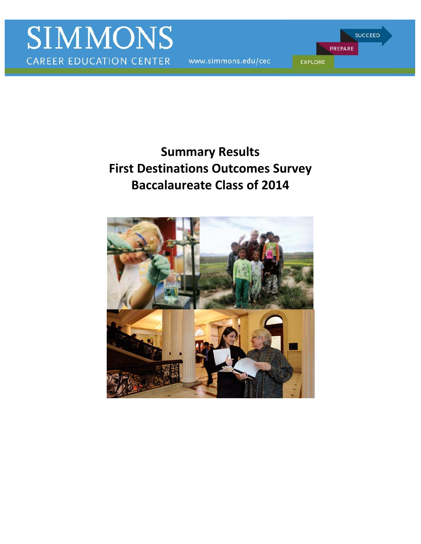www.simmons.edu/cec

PREPARE **EXPLORE** 

**SUCCEED** 

# **First Destinations Outcomes Survey Summary Results Baccalaureate Class of 2014**

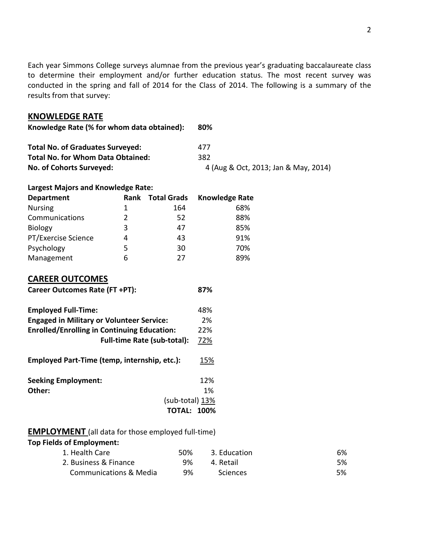Each year Simmons College surveys alumnae from the previous year's graduating baccalaureate class to determine their employment and/or further education status. The most recent survey was conducted in the spring and fall of 2014 for the Class of 2014. The following is a summary of the results from that survey:

#### **KNOWLEDGE RATE**

| Knowledge Rate (% for whom data obtained): | 80%                                  |
|--------------------------------------------|--------------------------------------|
| <b>Total No. of Graduates Surveyed:</b>    | 477                                  |
| <b>Total No. for Whom Data Obtained:</b>   | 382                                  |
| No. of Cohorts Surveyed:                   | 4 (Aug & Oct, 2013; Jan & May, 2014) |

### **Largest Majors and Knowledge Rate:**

| <b>Department</b>   | <b>Rank</b> | <b>Total Grads</b> | <b>Knowledge Rate</b> |
|---------------------|-------------|--------------------|-----------------------|
| <b>Nursing</b>      | 1           | 164                | 68%                   |
| Communications      | 2           | 52                 | 88%                   |
| <b>Biology</b>      | 3           | 47                 | 85%                   |
| PT/Exercise Science | 4           | 43                 | 91%                   |
| Psychology          | 5           | 30                 | 70%                   |
| Management          | 6           | 27                 | 89%                   |

# **CAREER OUTCOMES**

| <b>Career Outcomes Rate (FT +PT):</b> | 87% |
|---------------------------------------|-----|
| <b>Employed Full-Time:</b>            | 48% |

| <b>Engaged in Military or Volunteer Service:</b>   | 2%  |
|----------------------------------------------------|-----|
| <b>Enrolled/Enrolling in Continuing Education:</b> | 22% |
| <b>Full-time Rate (sub-total):</b>                 | 72% |
| Employed Part-Time (temp, internship, etc.):       | 15% |
| <b>Seeking Employment:</b>                         | 12% |
| Other:                                             | 1%  |
| (sub-total) 13%                                    |     |
| <b>TOTAL: 100%</b>                                 |     |

# **EMPLOYMENT** (all data for those employed full-time)

 **Top Fields of Employment:** 

| 1. Health Care                    | 50% | 3. Education    | 6% |
|-----------------------------------|-----|-----------------|----|
| 2. Business & Finance             | 9%  | 4. Retail       | 5% |
| <b>Communications &amp; Media</b> | 9%  | <b>Sciences</b> | 5% |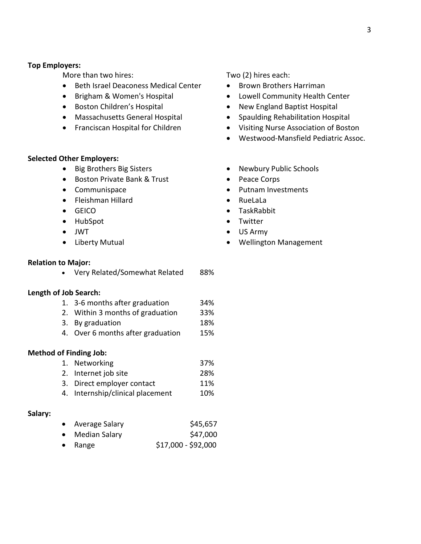#### **Top Employers:**

More than two hires:

- Beth Israel Deaconess Medical Center
- Brigham & Women's Hospital
- Boston Children's Hospital
- Massachusetts General Hospital
- Franciscan Hospital for Children

#### **Selected Other Employers:**

- Big Brothers Big Sisters
- Boston Private Bank & Trust
- Communispace
- Fleishman Hillard
- GEICO
- HubSpot
- JWT
- Liberty Mutual

#### **Relation to Major:**

• Very Related/Somewhat Related 88%

#### **Length of Job Search:**

- 1. 3-6 months after graduation 34%
- 2. Within 3 months of graduation 33%
- 3. By graduation 18%
- 4. Over 6 months after graduation 15%

#### **Method of Finding Job:**

- 1. Networking 37% 2. Internet job site 28%
- 3. Direct employer contact 11%
- 4. Internship/clinical placement 10%

#### **Salary:**

|  | Average Salary | \$45,657 |
|--|----------------|----------|
|--|----------------|----------|

- Median Salary \$47,000
- Range • Range  $$17,000 - $92,000$

### Two (2) hires each:

- Brown Brothers Harriman
- Lowell Community Health Center
- New England Baptist Hospital
- Spaulding Rehabilitation Hospital
- Visiting Nurse Association of Boston
- Westwood-Mansfield Pediatric Assoc.
- Newbury Public Schools
- Peace Corps
- Putnam Investments
- RueLaLa
- TaskRabbit
- Twitter
- US Army
- Wellington Management